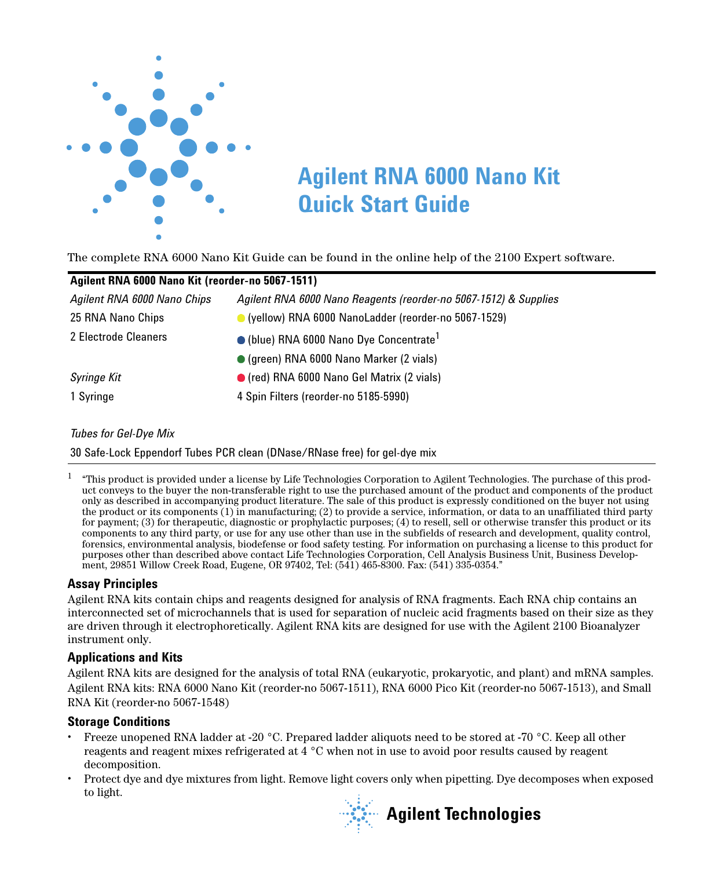

The complete RNA 6000 Nano Kit Guide can be found in the online help of the 2100 Expert software.

| Agilent RNA 6000 Nano Kit (reorder-no 5067-1511)                 |  |  |  |  |  |
|------------------------------------------------------------------|--|--|--|--|--|
| Agilent RNA 6000 Nano Reagents (reorder-no 5067-1512) & Supplies |  |  |  |  |  |
| C (yellow) RNA 6000 NanoLadder (reorder-no 5067-1529)            |  |  |  |  |  |
| $\bullet$ (blue) RNA 6000 Nano Dye Concentrate <sup>1</sup>      |  |  |  |  |  |
| • (green) RNA 6000 Nano Marker (2 vials)                         |  |  |  |  |  |
| ● (red) RNA 6000 Nano Gel Matrix (2 vials)                       |  |  |  |  |  |
| 4 Spin Filters (reorder-no 5185-5990)                            |  |  |  |  |  |
|                                                                  |  |  |  |  |  |

#### *Tubes for Gel-Dye Mix*

30 Safe-Lock Eppendorf Tubes PCR clean (DNase/RNase free) for gel-dye mix

 $1$  "This product is provided under a license by Life Technologies Corporation to Agilent Technologies. The purchase of this product conveys to the buyer the non-transferable right to use the purchased amount of the product and components of the product only as described in accompanying product literature. The sale of this product is expressly conditioned on the buyer not using the product or its components (1) in manufacturing; (2) to provide a service, information, or data to an unaffiliated third party for payment; (3) for therapeutic, diagnostic or prophylactic purposes; (4) to resell, sell or otherwise transfer this product or its components to any third party, or use for any use other than use in the subfields of research and development, quality control, purposes other than described above contact Life Technologies Corporation, Cell Analysis Business Unit, Business Development, 29851 Willow Creek Road, Eugene, OR 97402, Tel: (541) 465-8300. Fax: (541) 335-0354."

# **Assay Principles**

Agilent RNA kits contain chips and reagents designed for analysis of RNA fragments. Each RNA chip contains an interconnected set of microchannels that is used for separation of nucleic acid fragments based on their size as they are driven through it electrophoretically. Agilent RNA kits are designed for use with the Agilent 2100 Bioanalyzer instrument only.

#### **Applications and Kits**

Agilent RNA kits are designed for the analysis of total RNA (eukaryotic, prokaryotic, and plant) and mRNA samples. Agilent RNA kits: RNA 6000 Nano Kit (reorder-no 5067-1511), RNA 6000 Pico Kit (reorder-no 5067-1513), and Small RNA Kit (reorder-no 5067-1548)

#### **Storage Conditions**

- **•** Freeze unopened RNA ladder at -20 °C. Prepared ladder aliquots need to be stored at -70 °C. Keep all other reagents and reagent mixes refrigerated at 4 °C when not in use to avoid poor results caused by reagent decomposition.
- **•** Protect dye and dye mixtures from light. Remove light covers only when pipetting. Dye decomposes when exposed to light.

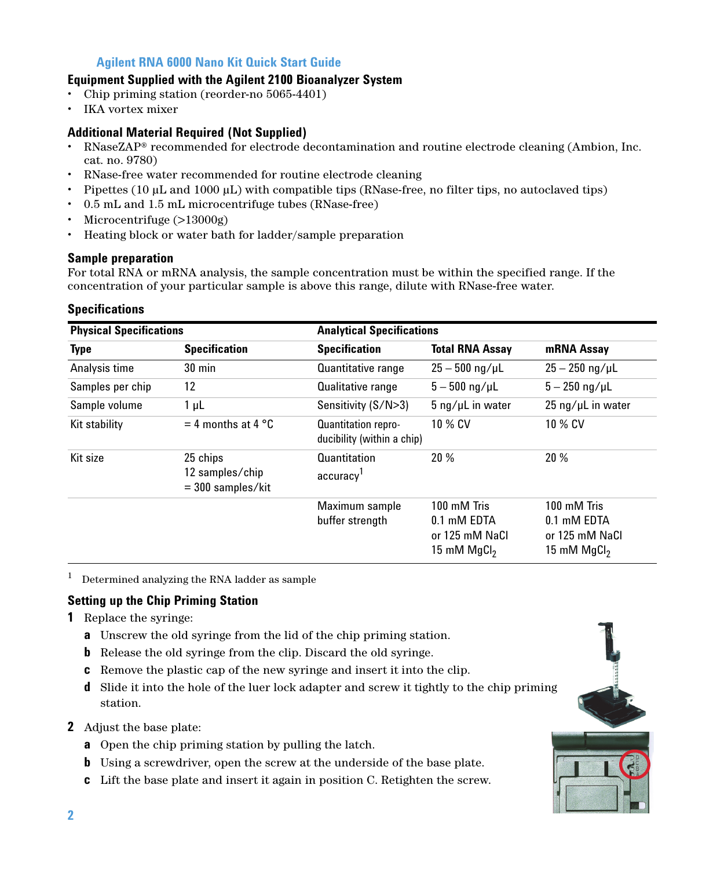# **Equipment Supplied with the Agilent 2100 Bioanalyzer System**

- **•** Chip priming station (reorder-no 5065-4401)
- **•** IKA vortex mixer

# **Additional Material Required (Not Supplied)**

- **•** RNaseZAP® recommended for electrode decontamination and routine electrode cleaning (Ambion, Inc. cat. no. 9780)
- **•** RNase-free water recommended for routine electrode cleaning
- **•** Pipettes (10 μL and 1000 μL) with compatible tips (RNase-free, no filter tips, no autoclaved tips)
- **•** 0.5 mL and 1.5 mL microcentrifuge tubes (RNase-free)
- **•** Microcentrifuge (>13000g)
- **•** Heating block or water bath for ladder/sample preparation

#### **Sample preparation**

For total RNA or mRNA analysis, the sample concentration must be within the specified range. If the concentration of your particular sample is above this range, dilute with RNase-free water.

#### **Specifications**

| <b>Physical Specifications</b> |                                                    | <b>Analytical Specifications</b>                         |                                                               |                                                               |
|--------------------------------|----------------------------------------------------|----------------------------------------------------------|---------------------------------------------------------------|---------------------------------------------------------------|
| <b>Type</b>                    | <b>Specification</b>                               | <b>Specification</b>                                     | <b>Total RNA Assay</b>                                        | mRNA Assay                                                    |
| Analysis time                  | $30 \text{ min}$                                   | <b>Quantitative range</b>                                | $25 - 500$ ng/µL                                              | $25 - 250$ ng/µL                                              |
| Samples per chip               | 12                                                 | <b>Qualitative range</b>                                 | $5 - 500$ ng/µL                                               | $5 - 250$ ng/uL                                               |
| Sample volume                  | $1 \mu L$                                          | Sensitivity (S/N>3)                                      | $5 \nmid \mu$ L in water                                      | $25 \text{ ng/µL}$ in water                                   |
| Kit stability                  | $=$ 4 months at 4 °C                               | <b>Quantitation repro-</b><br>ducibility (within a chip) | 10 % CV                                                       | 10 % CV                                                       |
| Kit size                       | 25 chips<br>12 samples/chip<br>$=$ 300 samples/kit | Quantitation<br>accuracy <sup>1</sup>                    | 20%                                                           | 20%                                                           |
|                                |                                                    | Maximum sample<br>buffer strength                        | 100 mM Tris<br>0.1 mM EDTA<br>or 125 mM NaCl<br>15 mM $MgCl2$ | 100 mM Tris<br>0.1 mM EDTA<br>or 125 mM NaCl<br>15 mM $MgCl2$ |

 $1$  Determined analyzing the RNA ladder as sample

# **Setting up the Chip Priming Station**

- **1** Replace the syringe:
	- **a** Unscrew the old syringe from the lid of the chip priming station.
	- **b** Release the old syringe from the clip. Discard the old syringe.
	- **c** Remove the plastic cap of the new syringe and insert it into the clip.
	- **d** Slide it into the hole of the luer lock adapter and screw it tightly to the chip priming station.
- **2** Adjust the base plate:
	- **a** Open the chip priming station by pulling the latch.
	- **b** Using a screwdriver, open the screw at the underside of the base plate.
	- **c** Lift the base plate and insert it again in position C. Retighten the screw.

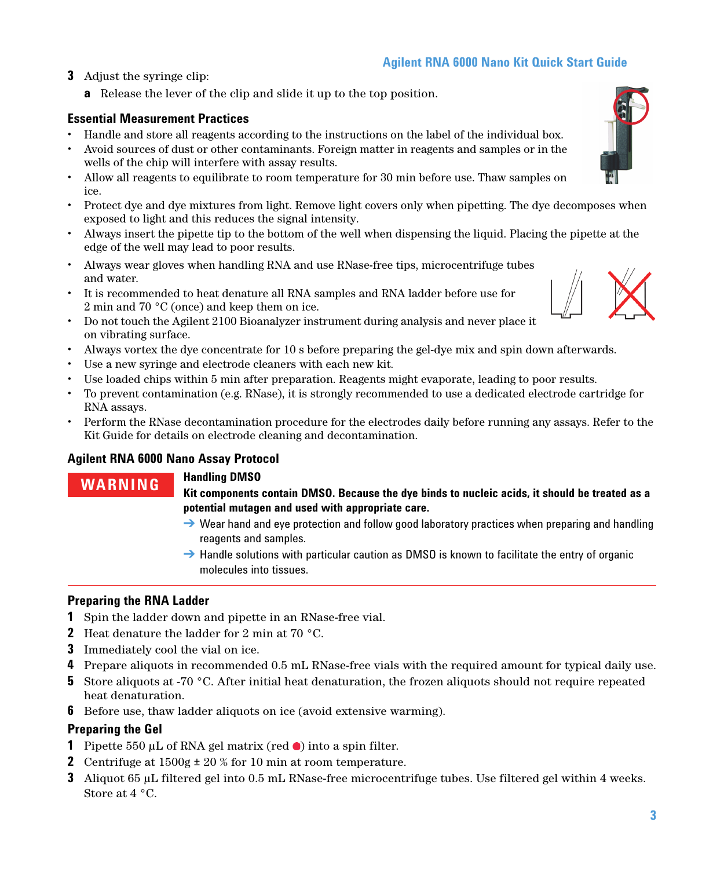- **3** Adjust the syringe clip:
	- **a** Release the lever of the clip and slide it up to the top position.

# **Essential Measurement Practices**

- **•** Handle and store all reagents according to the instructions on the label of the individual box.
- **•** Avoid sources of dust or other contaminants. Foreign matter in reagents and samples or in the wells of the chip will interfere with assay results.
- **•** Allow all reagents to equilibrate to room temperature for 30 min before use. Thaw samples on ice.
- **•** Protect dye and dye mixtures from light. Remove light covers only when pipetting. The dye decomposes when exposed to light and this reduces the signal intensity.
- **•** Always insert the pipette tip to the bottom of the well when dispensing the liquid. Placing the pipette at the edge of the well may lead to poor results.
- **•** Always wear gloves when handling RNA and use RNase-free tips, microcentrifuge tubes and water.
- **•** It is recommended to heat denature all RNA samples and RNA ladder before use for 2 min and 70 °C (once) and keep them on ice.
- **•** Do not touch the Agilent 2100 Bioanalyzer instrument during analysis and never place it on vibrating surface.
- **•** Always vortex the dye concentrate for 10 s before preparing the gel-dye mix and spin down afterwards.
- **•** Use a new syringe and electrode cleaners with each new kit.
- **•** Use loaded chips within 5 min after preparation. Reagents might evaporate, leading to poor results.
- **•** To prevent contamination (e.g. RNase), it is strongly recommended to use a dedicated electrode cartridge for RNA assays.
- **•** Perform the RNase decontamination procedure for the electrodes daily before running any assays. Refer to the Kit Guide for details on electrode cleaning and decontamination.

# **Agilent RNA 6000 Nano Assay Protocol**

# **WARNING Handling DMSO**

**Kit components contain DMSO. Because the dye binds to nucleic acids, it should be treated as a potential mutagen and used with appropriate care.** 

- $\rightarrow$  Wear hand and eye protection and follow good laboratory practices when preparing and handling reagents and samples.
- $\rightarrow$  Handle solutions with particular caution as DMSO is known to facilitate the entry of organic molecules into tissues.

# **Preparing the RNA Ladder**

- **1** Spin the ladder down and pipette in an RNase-free vial.
- **2** Heat denature the ladder for 2 min at 70 °C.
- **3** Immediately cool the vial on ice.
- **4** Prepare aliquots in recommended 0.5 mL RNase-free vials with the required amount for typical daily use.
- **5** Store aliquots at -70 °C. After initial heat denaturation, the frozen aliquots should not require repeated heat denaturation.
- **6** Before use, thaw ladder aliquots on ice (avoid extensive warming).

# **Preparing the Gel**

- **1** Pipette 550 μL of RNA gel matrix (red  $\bullet$ ) into a spin filter.
- **2** Centrifuge at 1500g ± 20 % for 10 min at room temperature.
- **3** Aliquot 65 μL filtered gel into 0.5 mL RNase-free microcentrifuge tubes. Use filtered gel within 4 weeks. Store at 4 °C.